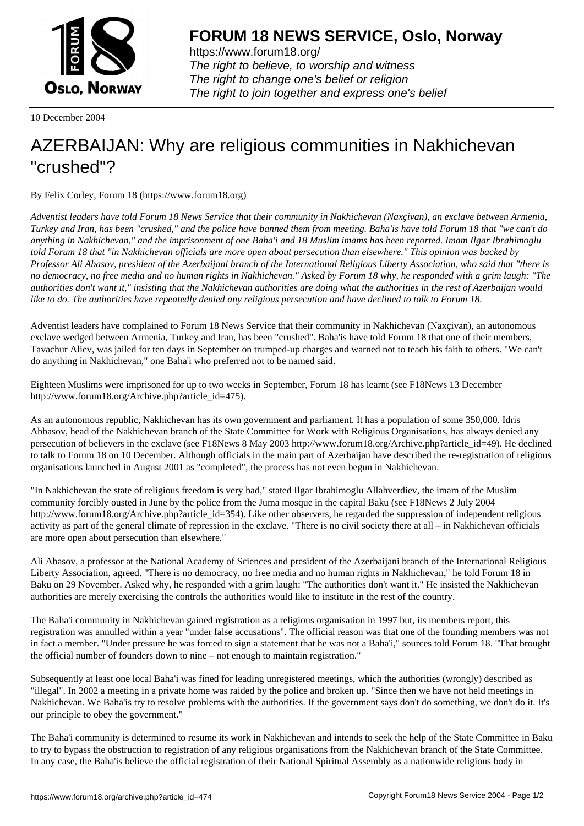

https://www.forum18.org/ The right to believe, to worship and witness The right to change one's belief or religion [The right to join together a](https://www.forum18.org/)nd express one's belief

10 December 2004

## [AZERBAIJAN: W](https://www.forum18.org)hy are religious communities in Nakhichevan "crushed"?

By Felix Corley, Forum 18 (https://www.forum18.org)

*Adventist leaders have told Forum 18 News Service that their community in Nakhichevan (Naxçivan), an exclave between Armenia, Turkey and Iran, has been "crushed," and the police have banned them from meeting. Baha'is have told Forum 18 that "we can't do anything in Nakhichevan," and the imprisonment of one Baha'i and 18 Muslim imams has been reported. Imam Ilgar Ibrahimoglu told Forum 18 that "in Nakhichevan officials are more open about persecution than elsewhere." This opinion was backed by Professor Ali Abasov, president of the Azerbaijani branch of the International Religious Liberty Association, who said that "there is no democracy, no free media and no human rights in Nakhichevan." Asked by Forum 18 why, he responded with a grim laugh: "The authorities don't want it," insisting that the Nakhichevan authorities are doing what the authorities in the rest of Azerbaijan would like to do. The authorities have repeatedly denied any religious persecution and have declined to talk to Forum 18.*

Adventist leaders have complained to Forum 18 News Service that their community in Nakhichevan (Naxçivan), an autonomous exclave wedged between Armenia, Turkey and Iran, has been "crushed". Baha'is have told Forum 18 that one of their members, Tavachur Aliev, was jailed for ten days in September on trumped-up charges and warned not to teach his faith to others. "We can't do anything in Nakhichevan," one Baha'i who preferred not to be named said.

Eighteen Muslims were imprisoned for up to two weeks in September, Forum 18 has learnt (see F18News 13 December http://www.forum18.org/Archive.php?article\_id=475).

As an autonomous republic, Nakhichevan has its own government and parliament. It has a population of some 350,000. Idris Abbasov, head of the Nakhichevan branch of the State Committee for Work with Religious Organisations, has always denied any persecution of believers in the exclave (see F18News 8 May 2003 http://www.forum18.org/Archive.php?article\_id=49). He declined to talk to Forum 18 on 10 December. Although officials in the main part of Azerbaijan have described the re-registration of religious organisations launched in August 2001 as "completed", the process has not even begun in Nakhichevan.

"In Nakhichevan the state of religious freedom is very bad," stated Ilgar Ibrahimoglu Allahverdiev, the imam of the Muslim community forcibly ousted in June by the police from the Juma mosque in the capital Baku (see F18News 2 July 2004 http://www.forum18.org/Archive.php?article\_id=354). Like other observers, he regarded the suppression of independent religious activity as part of the general climate of repression in the exclave. "There is no civil society there at all – in Nakhichevan officials are more open about persecution than elsewhere."

Ali Abasov, a professor at the National Academy of Sciences and president of the Azerbaijani branch of the International Religious Liberty Association, agreed. "There is no democracy, no free media and no human rights in Nakhichevan," he told Forum 18 in Baku on 29 November. Asked why, he responded with a grim laugh: "The authorities don't want it." He insisted the Nakhichevan authorities are merely exercising the controls the authorities would like to institute in the rest of the country.

The Baha'i community in Nakhichevan gained registration as a religious organisation in 1997 but, its members report, this registration was annulled within a year "under false accusations". The official reason was that one of the founding members was not in fact a member. "Under pressure he was forced to sign a statement that he was not a Baha'i," sources told Forum 18. "That brought the official number of founders down to nine – not enough to maintain registration."

Subsequently at least one local Baha'i was fined for leading unregistered meetings, which the authorities (wrongly) described as "illegal". In 2002 a meeting in a private home was raided by the police and broken up. "Since then we have not held meetings in Nakhichevan. We Baha'is try to resolve problems with the authorities. If the government says don't do something, we don't do it. It's our principle to obey the government."

The Baha'i community is determined to resume its work in Nakhichevan and intends to seek the help of the State Committee in Baku to try to bypass the obstruction to registration of any religious organisations from the Nakhichevan branch of the State Committee. In any case, the Baha'is believe the official registration of their National Spiritual Assembly as a nationwide religious body in